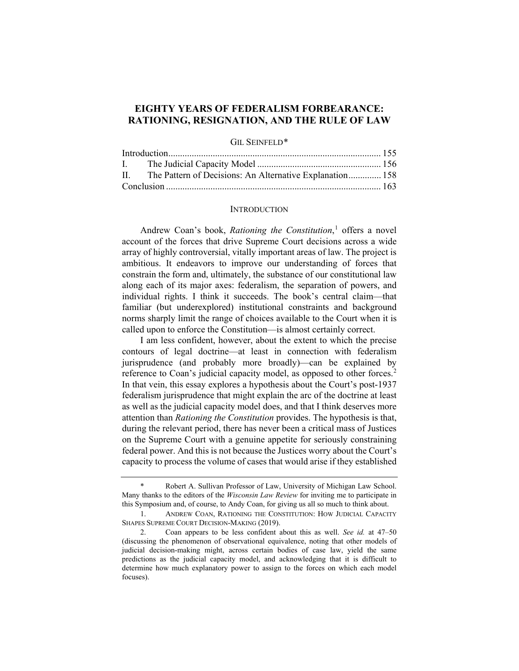# **EIGHTY YEARS OF FEDERALISM FORBEARANCE: RATIONING, RESIGNATION, AND THE RULE OF LAW**

#### GIL SEINFELD[\\*](#page-0-0)

|  | II. The Pattern of Decisions: An Alternative Explanation 158 |  |
|--|--------------------------------------------------------------|--|
|  |                                                              |  |

### <span id="page-0-3"></span>**INTRODUCTION**

Andrew Coan's book, *Rationing the Constitution*, [1](#page-0-1) offers a novel account of the forces that drive Supreme Court decisions across a wide array of highly controversial, vitally important areas of law. The project is ambitious. It endeavors to improve our understanding of forces that constrain the form and, ultimately, the substance of our constitutional law along each of its major axes: federalism, the separation of powers, and individual rights. I think it succeeds. The book's central claim—that familiar (but underexplored) institutional constraints and background norms sharply limit the range of choices available to the Court when it is called upon to enforce the Constitution—is almost certainly correct.

I am less confident, however, about the extent to which the precise contours of legal doctrine—at least in connection with federalism jurisprudence (and probably more broadly)—can be explained by reference to Coan's judicial capacity model, as opposed to other forces.<sup>[2](#page-0-2)</sup> In that vein, this essay explores a hypothesis about the Court's post-1937 federalism jurisprudence that might explain the arc of the doctrine at least as well as the judicial capacity model does, and that I think deserves more attention than *Rationing the Constitution* provides. The hypothesis is that, during the relevant period, there has never been a critical mass of Justices on the Supreme Court with a genuine appetite for seriously constraining federal power. And this is not because the Justices worry about the Court's capacity to process the volume of cases that would arise if they established

<span id="page-0-0"></span>Robert A. Sullivan Professor of Law, University of Michigan Law School. Many thanks to the editors of the *Wisconsin Law Review* for inviting me to participate in this Symposium and, of course, to Andy Coan, for giving us all so much to think about.

<span id="page-0-1"></span><sup>1.</sup> ANDREW COAN, RATIONING THE CONSTITUTION: HOW JUDICIAL CAPACITY SHAPES SUPREME COURT DECISION-MAKING (2019).

<span id="page-0-2"></span><sup>2.</sup> Coan appears to be less confident about this as well. *See id.* at 47–50 (discussing the phenomenon of observational equivalence, noting that other models of judicial decision-making might, across certain bodies of case law, yield the same predictions as the judicial capacity model, and acknowledging that it is difficult to determine how much explanatory power to assign to the forces on which each model focuses).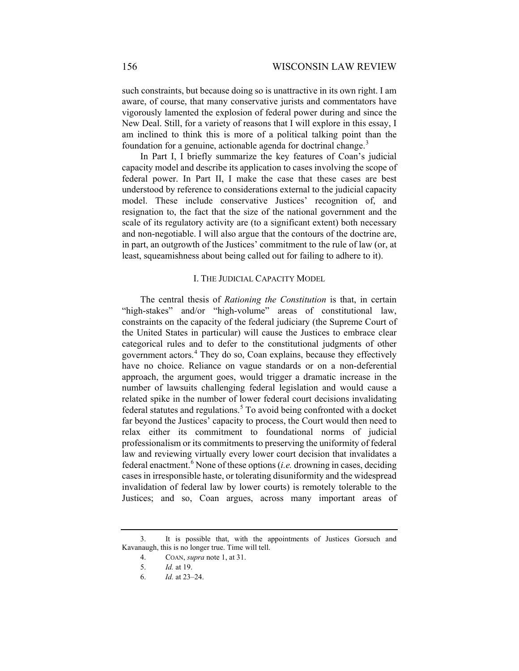such constraints, but because doing so is unattractive in its own right. I am aware, of course, that many conservative jurists and commentators have vigorously lamented the explosion of federal power during and since the New Deal. Still, for a variety of reasons that I will explore in this essay, I am inclined to think this is more of a political talking point than the foundation for a genuine, actionable agenda for doctrinal change.<sup>[3](#page-1-0)</sup>

In Part I, I briefly summarize the key features of Coan's judicial capacity model and describe its application to cases involving the scope of federal power. In Part II, I make the case that these cases are best understood by reference to considerations external to the judicial capacity model. These include conservative Justices' recognition of, and resignation to, the fact that the size of the national government and the scale of its regulatory activity are (to a significant extent) both necessary and non-negotiable. I will also argue that the contours of the doctrine are, in part, an outgrowth of the Justices' commitment to the rule of law (or, at least, squeamishness about being called out for failing to adhere to it).

# I. THE JUDICIAL CAPACITY MODEL

The central thesis of *Rationing the Constitution* is that, in certain "high-stakes" and/or "high-volume" areas of constitutional law, constraints on the capacity of the federal judiciary (the Supreme Court of the United States in particular) will cause the Justices to embrace clear categorical rules and to defer to the constitutional judgments of other government actors.[4](#page-1-1) They do so, Coan explains, because they effectively have no choice. Reliance on vague standards or on a non-deferential approach, the argument goes, would trigger a dramatic increase in the number of lawsuits challenging federal legislation and would cause a related spike in the number of lower federal court decisions invalidating federal statutes and regulations. $5$  To avoid being confronted with a docket far beyond the Justices' capacity to process, the Court would then need to relax either its commitment to foundational norms of judicial professionalism or its commitments to preserving the uniformity of federal law and reviewing virtually every lower court decision that invalidates a federal enactment.[6](#page-1-3) None of these options (*i.e.* drowning in cases, deciding cases in irresponsible haste, or tolerating disuniformity and the widespread invalidation of federal law by lower courts) is remotely tolerable to the Justices; and so, Coan argues, across many important areas of

<span id="page-1-3"></span><span id="page-1-2"></span><span id="page-1-1"></span><span id="page-1-0"></span><sup>3.</sup> It is possible that, with the appointments of Justices Gorsuch and Kavanaugh, this is no longer true. Time will tell.

<sup>4.</sup> COAN, *supra* not[e 1,](#page-0-3) at 31.

<sup>5.</sup> *Id.* at 19.

<sup>6.</sup> *Id.* at 23–24.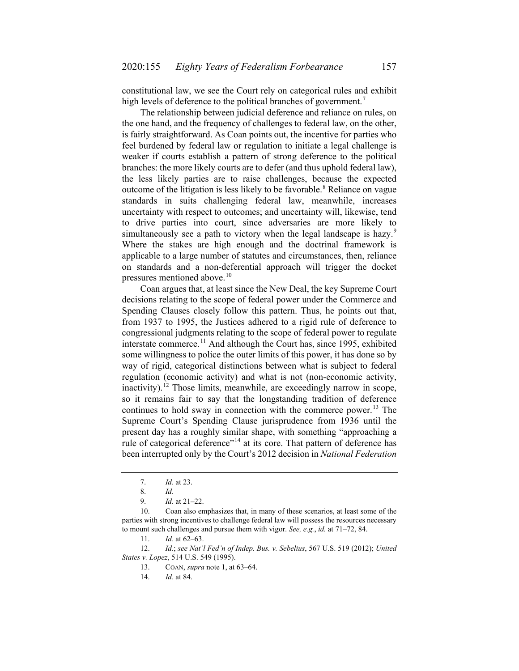constitutional law, we see the Court rely on categorical rules and exhibit high levels of deference to the political branches of government.<sup>[7](#page-2-0)</sup>

The relationship between judicial deference and reliance on rules, on the one hand, and the frequency of challenges to federal law, on the other, is fairly straightforward. As Coan points out, the incentive for parties who feel burdened by federal law or regulation to initiate a legal challenge is weaker if courts establish a pattern of strong deference to the political branches: the more likely courts are to defer (and thus uphold federal law), the less likely parties are to raise challenges, because the expected outcome of the litigation is less likely to be favorable.<sup>[8](#page-2-1)</sup> Reliance on vague standards in suits challenging federal law, meanwhile, increases uncertainty with respect to outcomes; and uncertainty will, likewise, tend to drive parties into court, since adversaries are more likely to simultaneously see a path to victory when the legal landscape is hazy.<sup>[9](#page-2-2)</sup> Where the stakes are high enough and the doctrinal framework is applicable to a large number of statutes and circumstances, then, reliance on standards and a non-deferential approach will trigger the docket pressures mentioned above.<sup>[10](#page-2-3)</sup>

Coan argues that, at least since the New Deal, the key Supreme Court decisions relating to the scope of federal power under the Commerce and Spending Clauses closely follow this pattern. Thus, he points out that, from 1937 to 1995, the Justices adhered to a rigid rule of deference to congressional judgments relating to the scope of federal power to regulate interstate commerce.<sup>[11](#page-2-4)</sup> And although the Court has, since 1995, exhibited some willingness to police the outer limits of this power, it has done so by way of rigid, categorical distinctions between what is subject to federal regulation (economic activity) and what is not (non-economic activity, inactivity).<sup>[12](#page-2-5)</sup> Those limits, meanwhile, are exceedingly narrow in scope, so it remains fair to say that the longstanding tradition of deference continues to hold sway in connection with the commerce power.<sup>[13](#page-2-6)</sup> The Supreme Court's Spending Clause jurisprudence from 1936 until the present day has a roughly similar shape, with something "approaching a rule of categorical deference"<sup>[14](#page-2-7)</sup> at its core. That pattern of deference has been interrupted only by the Court's 2012 decision in *National Federation* 

<span id="page-2-7"></span><span id="page-2-6"></span><span id="page-2-5"></span><span id="page-2-4"></span>12. *Id.*; *see Nat'l Fed'n of Indep. Bus. v. Sebelius*, 567 U.S. 519 (2012); *United States v. Lopez*, 514 U.S. 549 (1995).

<sup>7.</sup> *Id.* at 23.

<sup>8.</sup> *Id.*

<sup>9.</sup> *Id.* at 21–22.

<span id="page-2-3"></span><span id="page-2-2"></span><span id="page-2-1"></span><span id="page-2-0"></span><sup>10.</sup> Coan also emphasizes that, in many of these scenarios, at least some of the parties with strong incentives to challenge federal law will possess the resources necessary to mount such challenges and pursue them with vigor. *See, e.g.*, *id.* at 71–72, 84.

<sup>11.</sup> *Id.* at 62–63.

<sup>13.</sup> COAN, *supra* not[e 1,](#page-0-3) at 63–64.

<sup>14.</sup> *Id.* at 84.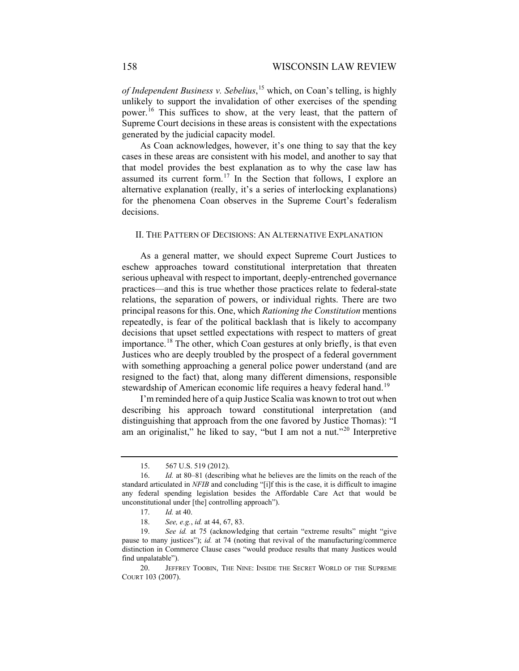*of Independent Business v. Sebelius*, [15](#page-3-0) which, on Coan's telling, is highly unlikely to support the invalidation of other exercises of the spending power.<sup>[16](#page-3-1)</sup> This suffices to show, at the very least, that the pattern of Supreme Court decisions in these areas is consistent with the expectations generated by the judicial capacity model.

As Coan acknowledges, however, it's one thing to say that the key cases in these areas are consistent with his model, and another to say that that model provides the best explanation as to why the case law has assumed its current form.<sup>[17](#page-3-2)</sup> In the Section that follows, I explore an alternative explanation (really, it's a series of interlocking explanations) for the phenomena Coan observes in the Supreme Court's federalism decisions.

## II. THE PATTERN OF DECISIONS: AN ALTERNATIVE EXPLANATION

As a general matter, we should expect Supreme Court Justices to eschew approaches toward constitutional interpretation that threaten serious upheaval with respect to important, deeply-entrenched governance practices—and this is true whether those practices relate to federal-state relations, the separation of powers, or individual rights. There are two principal reasons for this. One, which *Rationing the Constitution* mentions repeatedly, is fear of the political backlash that is likely to accompany decisions that upset settled expectations with respect to matters of great importance.<sup>[18](#page-3-3)</sup> The other, which Coan gestures at only briefly, is that even Justices who are deeply troubled by the prospect of a federal government with something approaching a general police power understand (and are resigned to the fact) that, along many different dimensions, responsible stewardship of American economic life requires a heavy federal hand.<sup>[19](#page-3-4)</sup>

I'm reminded here of a quip Justice Scalia was known to trot out when describing his approach toward constitutional interpretation (and distinguishing that approach from the one favored by Justice Thomas): "I am an originalist," he liked to say, "but I am not a nut."<sup>[20](#page-3-5)</sup> Interpretive

<sup>15.</sup> 567 U.S. 519 (2012).

<span id="page-3-1"></span><span id="page-3-0"></span><sup>16.</sup> *Id.* at 80–81 (describing what he believes are the limits on the reach of the standard articulated in *NFIB* and concluding "[i]f this is the case, it is difficult to imagine any federal spending legislation besides the Affordable Care Act that would be unconstitutional under [the] controlling approach").

<sup>17.</sup> *Id.* at 40.

<sup>18.</sup> *See, e.g.*, *id.* at 44, 67, 83.

<span id="page-3-4"></span><span id="page-3-3"></span><span id="page-3-2"></span><sup>19.</sup> *See id.* at 75 (acknowledging that certain "extreme results" might "give pause to many justices"); *id.* at 74 (noting that revival of the manufacturing/commerce distinction in Commerce Clause cases "would produce results that many Justices would find unpalatable").

<span id="page-3-5"></span><sup>20.</sup> JEFFREY TOOBIN, THE NINE: INSIDE THE SECRET WORLD OF THE SUPREME COURT 103 (2007).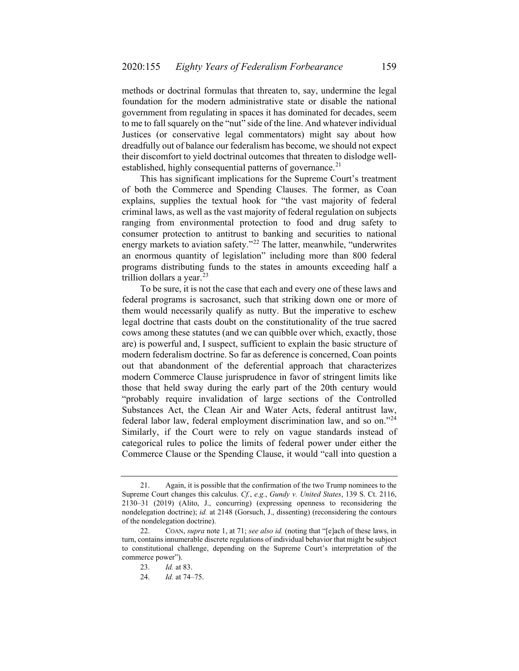methods or doctrinal formulas that threaten to, say, undermine the legal foundation for the modern administrative state or disable the national government from regulating in spaces it has dominated for decades, seem to me to fall squarely on the "nut" side of the line. And whatever individual Justices (or conservative legal commentators) might say about how dreadfully out of balance our federalism has become, we should not expect their discomfort to yield doctrinal outcomes that threaten to dislodge well-established, highly consequential patterns of governance.<sup>[21](#page-4-0)</sup>

This has significant implications for the Supreme Court's treatment of both the Commerce and Spending Clauses. The former, as Coan explains, supplies the textual hook for "the vast majority of federal criminal laws, as well as the vast majority of federal regulation on subjects ranging from environmental protection to food and drug safety to consumer protection to antitrust to banking and securities to national energy markets to aviation safety."<sup>[22](#page-4-1)</sup> The latter, meanwhile, "underwrites" an enormous quantity of legislation" including more than 800 federal programs distributing funds to the states in amounts exceeding half a trillion dollars a year. $^{23}$  $^{23}$  $^{23}$ 

To be sure, it is not the case that each and every one of these laws and federal programs is sacrosanct, such that striking down one or more of them would necessarily qualify as nutty. But the imperative to eschew legal doctrine that casts doubt on the constitutionality of the true sacred cows among these statutes (and we can quibble over which, exactly, those are) is powerful and, I suspect, sufficient to explain the basic structure of modern federalism doctrine. So far as deference is concerned, Coan points out that abandonment of the deferential approach that characterizes modern Commerce Clause jurisprudence in favor of stringent limits like those that held sway during the early part of the 20th century would "probably require invalidation of large sections of the Controlled Substances Act, the Clean Air and Water Acts, federal antitrust law, federal labor law, federal employment discrimination law, and so on."[24](#page-4-3) Similarly, if the Court were to rely on vague standards instead of categorical rules to police the limits of federal power under either the Commerce Clause or the Spending Clause, it would "call into question a

<span id="page-4-0"></span><sup>21.</sup> Again, it is possible that the confirmation of the two Trump nominees to the Supreme Court changes this calculus. *Cf.*, *e.g.*, *Gundy v. United States*, 139 S. Ct. 2116, 2130–31 (2019) (Alito, J., concurring) (expressing openness to reconsidering the nondelegation doctrine); *id.* at 2148 (Gorsuch, J., dissenting) (reconsidering the contours of the nondelegation doctrine).

<span id="page-4-3"></span><span id="page-4-2"></span><span id="page-4-1"></span><sup>22.</sup> COAN, *supra* not[e 1,](#page-0-3) at 71; *see also id.* (noting that "[e]ach of these laws, in turn, contains innumerable discrete regulations of individual behavior that might be subject to constitutional challenge, depending on the Supreme Court's interpretation of the commerce power").

<sup>23.</sup> *Id.* at 83.

<sup>24.</sup> *Id.* at 74–75.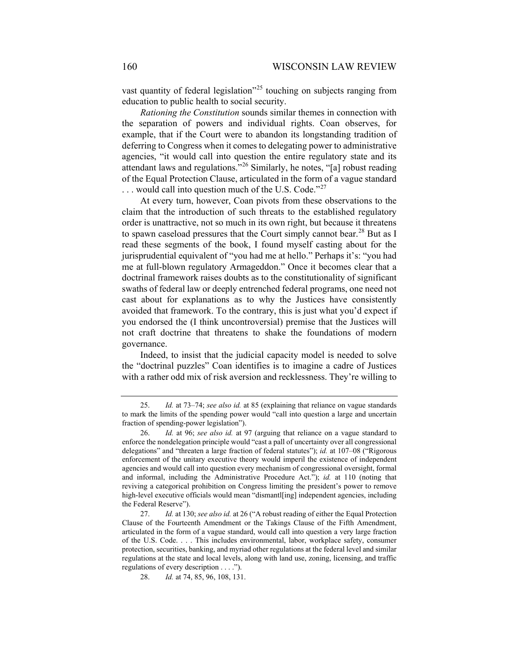vast quantity of federal legislation<sup> $25$ </sup> touching on subjects ranging from education to public health to social security.

*Rationing the Constitution* sounds similar themes in connection with the separation of powers and individual rights. Coan observes, for example, that if the Court were to abandon its longstanding tradition of deferring to Congress when it comes to delegating power to administrative agencies, "it would call into question the entire regulatory state and its attendant laws and regulations."[26](#page-5-1) Similarly, he notes, "[a] robust reading of the Equal Protection Clause, articulated in the form of a vague standard  $\dots$  would call into question much of the U.S. Code."<sup>[27](#page-5-2)</sup>

At every turn, however, Coan pivots from these observations to the claim that the introduction of such threats to the established regulatory order is unattractive, not so much in its own right, but because it threatens to spawn caseload pressures that the Court simply cannot bear.<sup>[28](#page-5-3)</sup> But as I read these segments of the book, I found myself casting about for the jurisprudential equivalent of "you had me at hello." Perhaps it's: "you had me at full-blown regulatory Armageddon." Once it becomes clear that a doctrinal framework raises doubts as to the constitutionality of significant swaths of federal law or deeply entrenched federal programs, one need not cast about for explanations as to why the Justices have consistently avoided that framework. To the contrary, this is just what you'd expect if you endorsed the (I think uncontroversial) premise that the Justices will not craft doctrine that threatens to shake the foundations of modern governance.

Indeed, to insist that the judicial capacity model is needed to solve the "doctrinal puzzles" Coan identifies is to imagine a cadre of Justices with a rather odd mix of risk aversion and recklessness. They're willing to

<span id="page-5-0"></span><sup>25.</sup> *Id.* at 73–74; *see also id.* at 85 (explaining that reliance on vague standards to mark the limits of the spending power would "call into question a large and uncertain fraction of spending-power legislation").

<span id="page-5-1"></span><sup>26.</sup> *Id.* at 96; *see also id.* at 97 (arguing that reliance on a vague standard to enforce the nondelegation principle would "cast a pall of uncertainty over all congressional delegations" and "threaten a large fraction of federal statutes"); *id.* at 107–08 ("Rigorous enforcement of the unitary executive theory would imperil the existence of independent agencies and would call into question every mechanism of congressional oversight, formal and informal, including the Administrative Procedure Act."); *id.* at 110 (noting that reviving a categorical prohibition on Congress limiting the president's power to remove high-level executive officials would mean "dismantl[ing] independent agencies, including the Federal Reserve").

<span id="page-5-3"></span><span id="page-5-2"></span><sup>27.</sup> *Id.* at 130; *see also id.* at 26 ("A robust reading of either the Equal Protection Clause of the Fourteenth Amendment or the Takings Clause of the Fifth Amendment, articulated in the form of a vague standard, would call into question a very large fraction of the U.S. Code. . . . This includes environmental, labor, workplace safety, consumer protection, securities, banking, and myriad other regulations at the federal level and similar regulations at the state and local levels, along with land use, zoning, licensing, and traffic regulations of every description . . . .").

<sup>28.</sup> *Id.* at 74, 85, 96, 108, 131.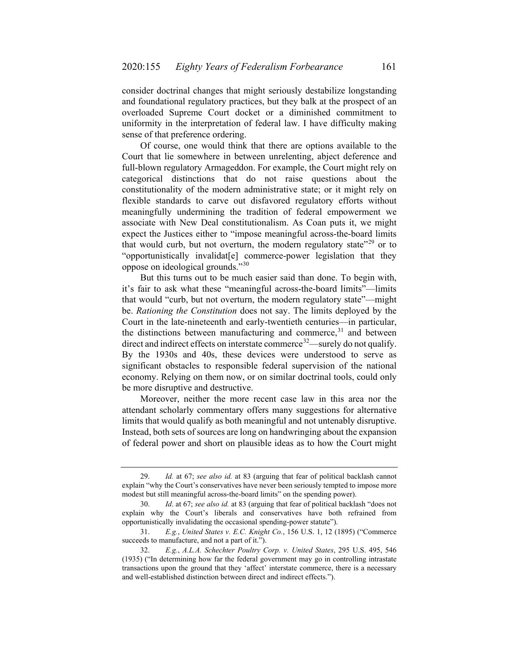consider doctrinal changes that might seriously destabilize longstanding and foundational regulatory practices, but they balk at the prospect of an overloaded Supreme Court docket or a diminished commitment to uniformity in the interpretation of federal law. I have difficulty making sense of that preference ordering.

Of course, one would think that there are options available to the Court that lie somewhere in between unrelenting, abject deference and full-blown regulatory Armageddon. For example, the Court might rely on categorical distinctions that do not raise questions about the constitutionality of the modern administrative state; or it might rely on flexible standards to carve out disfavored regulatory efforts without meaningfully undermining the tradition of federal empowerment we associate with New Deal constitutionalism. As Coan puts it, we might expect the Justices either to "impose meaningful across-the-board limits that would curb, but not overturn, the modern regulatory state"<sup>[29](#page-6-0)</sup> or to "opportunistically invalidat[e] commerce-power legislation that they oppose on ideological grounds."[30](#page-6-1)

But this turns out to be much easier said than done. To begin with, it's fair to ask what these "meaningful across-the-board limits"—limits that would "curb, but not overturn, the modern regulatory state"—might be. *Rationing the Constitution* does not say. The limits deployed by the Court in the late-nineteenth and early-twentieth centuries—in particular, the distinctions between manufacturing and commerce, $31$  and between direct and indirect effects on interstate commerce<sup>[32](#page-6-3)</sup>—surely do not qualify. By the 1930s and 40s, these devices were understood to serve as significant obstacles to responsible federal supervision of the national economy. Relying on them now, or on similar doctrinal tools, could only be more disruptive and destructive.

Moreover, neither the more recent case law in this area nor the attendant scholarly commentary offers many suggestions for alternative limits that would qualify as both meaningful and not untenably disruptive. Instead, both sets of sources are long on handwringing about the expansion of federal power and short on plausible ideas as to how the Court might

<span id="page-6-0"></span><sup>29.</sup> *Id.* at 67; *see also id.* at 83 (arguing that fear of political backlash cannot explain "why the Court's conservatives have never been seriously tempted to impose more modest but still meaningful across-the-board limits" on the spending power).

<span id="page-6-1"></span><sup>30.</sup> *Id*. at 67; *see also id.* at 83 (arguing that fear of political backlash "does not explain why the Court's liberals and conservatives have both refrained from opportunistically invalidating the occasional spending-power statute").

<span id="page-6-2"></span><sup>31.</sup> *E.g.*, *United States v. E.C. Knight Co.*, 156 U.S. 1, 12 (1895) ("Commerce succeeds to manufacture, and not a part of it.").

<span id="page-6-3"></span><sup>32.</sup> *E.g.*, *A.L.A. Schechter Poultry Corp. v. United States*, 295 U.S. 495, 546 (1935) ("In determining how far the federal government may go in controlling intrastate transactions upon the ground that they 'affect' interstate commerce, there is a necessary and well-established distinction between direct and indirect effects.").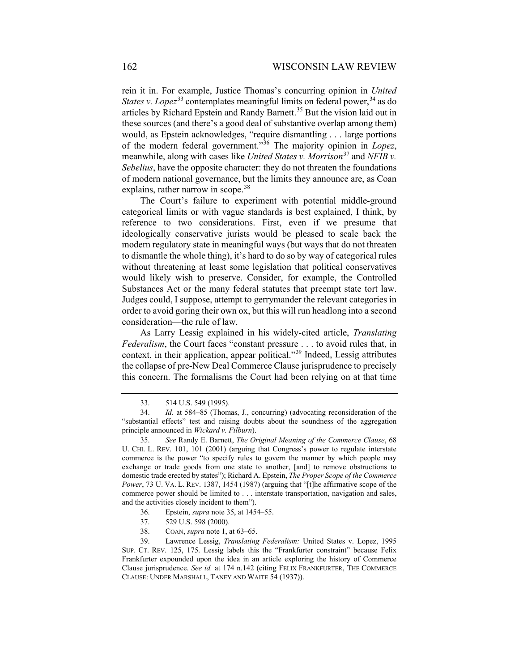<span id="page-7-0"></span>rein it in. For example, Justice Thomas's concurring opinion in *United States v. Lopez*<sup>[33](#page-7-1)</sup> contemplates meaningful limits on federal power,<sup>[34](#page-7-2)</sup> as do articles by Richard Epstein and Randy Barnett.<sup>[35](#page-7-3)</sup> But the vision laid out in these sources (and there's a good deal of substantive overlap among them) would, as Epstein acknowledges, "require dismantling . . . large portions of the modern federal government."[36](#page-7-4) The majority opinion in *Lopez*, meanwhile, along with cases like *United States v. Morrison*<sup>[37](#page-7-5)</sup> and *NFIB v. Sebelius*, have the opposite character: they do not threaten the foundations of modern national governance, but the limits they announce are, as Coan explains, rather narrow in scope.<sup>[38](#page-7-6)</sup>

The Court's failure to experiment with potential middle-ground categorical limits or with vague standards is best explained, I think, by reference to two considerations. First, even if we presume that ideologically conservative jurists would be pleased to scale back the modern regulatory state in meaningful ways (but ways that do not threaten to dismantle the whole thing), it's hard to do so by way of categorical rules without threatening at least some legislation that political conservatives would likely wish to preserve. Consider, for example, the Controlled Substances Act or the many federal statutes that preempt state tort law. Judges could, I suppose, attempt to gerrymander the relevant categories in order to avoid goring their own ox, but this will run headlong into a second consideration—the rule of law.

As Larry Lessig explained in his widely-cited article, *Translating Federalism*, the Court faces "constant pressure . . . to avoid rules that, in context, in their application, appear political."[39](#page-7-7) Indeed, Lessig attributes the collapse of pre-New Deal Commerce Clause jurisprudence to precisely this concern. The formalisms the Court had been relying on at that time

- 37. 529 U.S. 598 (2000).
- 38. COAN, *supra* not[e 1,](#page-0-3) at 63–65.

<sup>33.</sup> 514 U.S. 549 (1995).

<span id="page-7-2"></span><span id="page-7-1"></span><sup>34.</sup> *Id.* at 584–85 (Thomas, J., concurring) (advocating reconsideration of the "substantial effects" test and raising doubts about the soundness of the aggregation principle announced in *Wickard v. Filburn*).

<span id="page-7-3"></span><sup>35.</sup> *See* Randy E. Barnett, *The Original Meaning of the Commerce Clause*, 68 U. CHI. L. REV. 101, 101 (2001) (arguing that Congress's power to regulate interstate commerce is the power "to specify rules to govern the manner by which people may exchange or trade goods from one state to another, [and] to remove obstructions to domestic trade erected by states"); Richard A. Epstein, *The Proper Scope of the Commerce Power*, 73 U. VA. L. REV. 1387, 1454 (1987) (arguing that "[t]he affirmative scope of the commerce power should be limited to . . . interstate transportation, navigation and sales, and the activities closely incident to them").

<sup>36.</sup> Epstein, *supra* note [35,](#page-7-0) at 1454–55.

<span id="page-7-7"></span><span id="page-7-6"></span><span id="page-7-5"></span><span id="page-7-4"></span><sup>39.</sup> Lawrence Lessig, *Translating Federalism:* United States v. Lopez, 1995 SUP. CT. REV. 125, 175. Lessig labels this the "Frankfurter constraint" because Felix Frankfurter expounded upon the idea in an article exploring the history of Commerce Clause jurisprudence. *See id.* at 174 n.142 (citing FELIX FRANKFURTER, THE COMMERCE CLAUSE: UNDER MARSHALL, TANEY AND WAITE 54 (1937)).